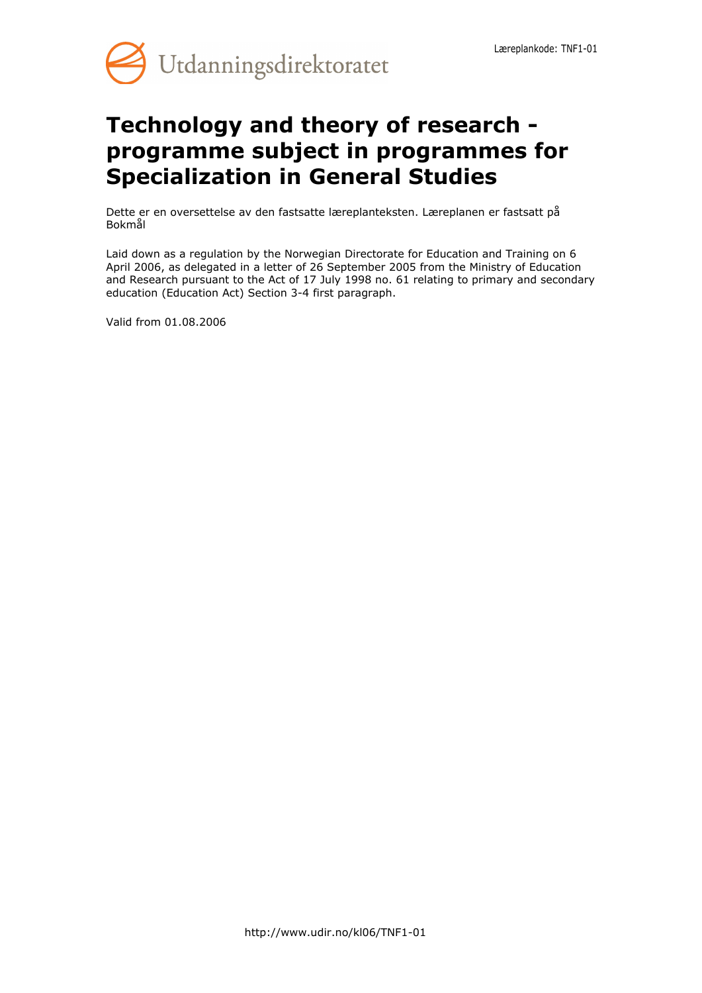

# **Technology and theory of research programme subject in programmes for Specialization in General Studies**

Dette er en oversettelse av den fastsatte læreplanteksten. Læreplanen er fastsatt på Bokmål

Laid down as a regulation by the Norwegian Directorate for Education and Training on 6 April 2006, as delegated in a letter of 26 September 2005 from the Ministry of Education and Research pursuant to the Act of 17 July 1998 no. 61 relating to primary and secondary education (Education Act) Section 3-4 first paragraph.

Valid from 01.08.2006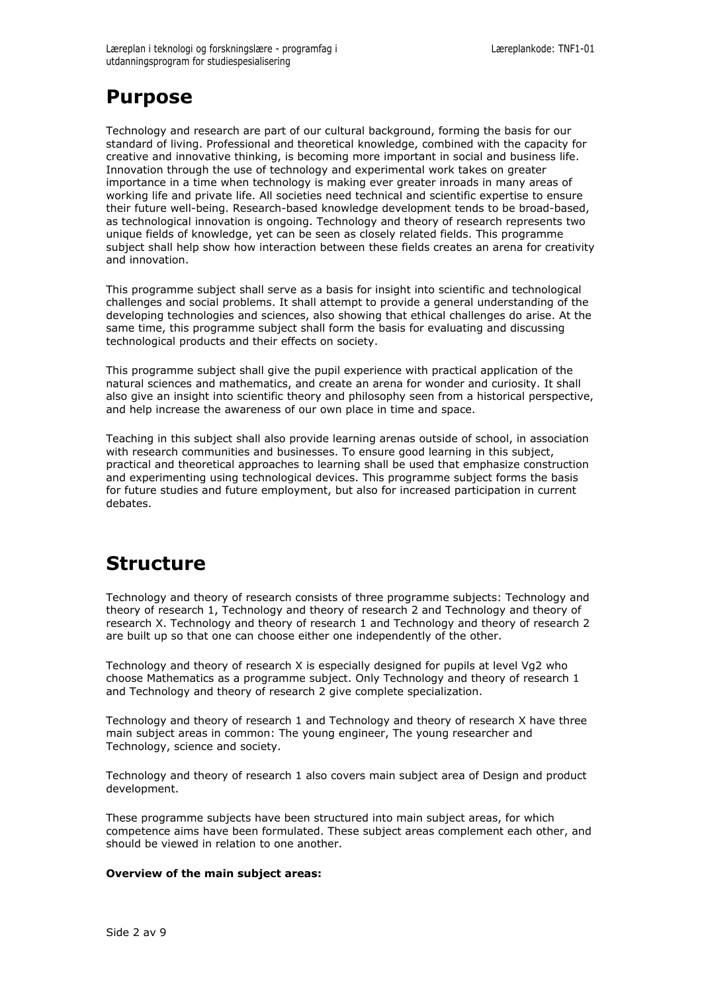## **Purpose**

Technology and research are part of our cultural background, forming the basis for our standard of living. Professional and theoretical knowledge, combined with the capacity for creative and innovative thinking, is becoming more important in social and business life. Innovation through the use of technology and experimental work takes on greater importance in a time when technology is making ever greater inroads in many areas of working life and private life. All societies need technical and scientific expertise to ensure their future well-being. Research-based knowledge development tends to be broad-based, as technological innovation is ongoing. Technology and theory of research represents two unique fields of knowledge, yet can be seen as closely related fields. This programme subject shall help show how interaction between these fields creates an arena for creativity and innovation.

This programme subject shall serve as a basis for insight into scientific and technological challenges and social problems. It shall attempt to provide a general understanding of the developing technologies and sciences, also showing that ethical challenges do arise. At the same time, this programme subject shall form the basis for evaluating and discussing technological products and their effects on society.

This programme subject shall give the pupil experience with practical application of the natural sciences and mathematics, and create an arena for wonder and curiosity. It shall also give an insight into scientific theory and philosophy seen from a historical perspective, and help increase the awareness of our own place in time and space.

Teaching in this subject shall also provide learning arenas outside of school, in association with research communities and businesses. To ensure good learning in this subject, practical and theoretical approaches to learning shall be used that emphasize construction and experimenting using technological devices. This programme subject forms the basis for future studies and future employment, but also for increased participation in current debates.

## **Structure**

Technology and theory of research consists of three programme subjects: Technology and theory of research 1, Technology and theory of research 2 and Technology and theory of research X. Technology and theory of research 1 and Technology and theory of research 2 are built up so that one can choose either one independently of the other.

Technology and theory of research X is especially designed for pupils at level Vg2 who choose Mathematics as a programme subject. Only Technology and theory of research 1 and Technology and theory of research 2 give complete specialization.

Technology and theory of research 1 and Technology and theory of research X have three main subject areas in common: The young engineer, The young researcher and Technology, science and society.

Technology and theory of research 1 also covers main subject area of Design and product development.

These programme subjects have been structured into main subject areas, for which competence aims have been formulated. These subject areas complement each other, and should be viewed in relation to one another.

### **Overview of the main subject areas:**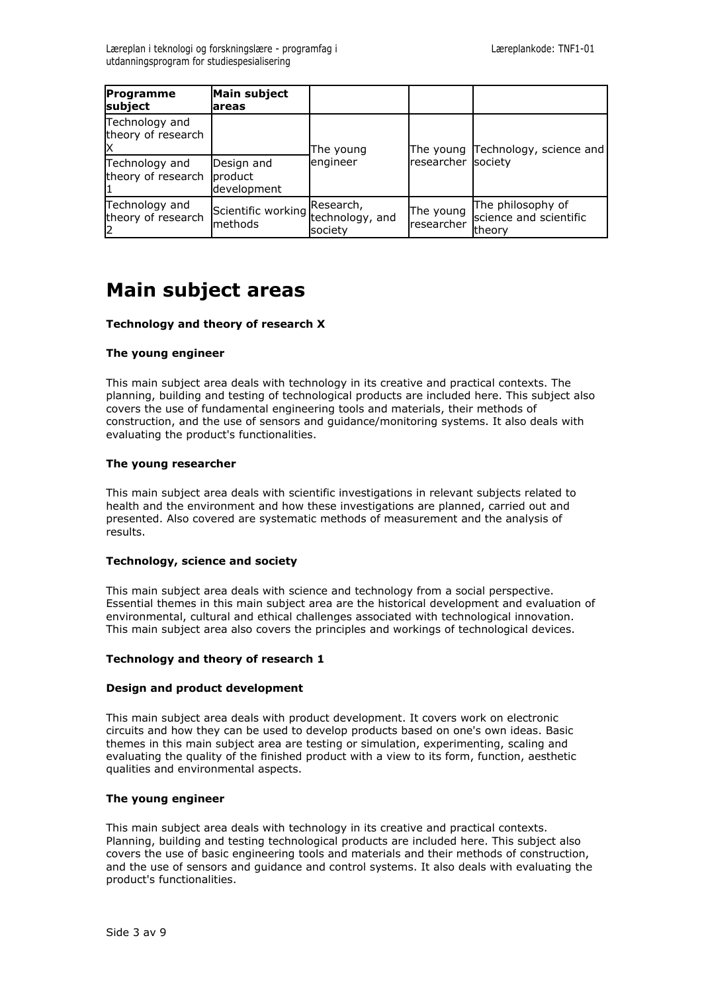| Programme<br>subject                 | Main subject<br>lareas                        |                                                |                         |                                                               |
|--------------------------------------|-----------------------------------------------|------------------------------------------------|-------------------------|---------------------------------------------------------------|
| Technology and<br>theory of research |                                               | The young                                      |                         | The young Technology, science and                             |
| Technology and<br>theory of research | Design and<br><b>I</b> product<br>development | lengineer                                      | lresearcher Isociety    |                                                               |
| Technology and<br>theory of research | Scientific working<br>lmethods                | <b>Research,</b><br>technology, and<br>society | The young<br>researcher | The philosophy of<br>science and scientific<br><b>Itheory</b> |

# **Main subject areas**

### **Technology and theory of research X**

### **The young engineer**

This main subject area deals with technology in its creative and practical contexts. The planning, building and testing of technological products are included here. This subject also covers the use of fundamental engineering tools and materials, their methods of construction, and the use of sensors and guidance/monitoring systems. It also deals with evaluating the product's functionalities.

### **The young researcher**

This main subject area deals with scientific investigations in relevant subjects related to health and the environment and how these investigations are planned, carried out and presented. Also covered are systematic methods of measurement and the analysis of results.

### **Technology, science and society**

This main subject area deals with science and technology from a social perspective. Essential themes in this main subject area are the historical development and evaluation of environmental, cultural and ethical challenges associated with technological innovation. This main subject area also covers the principles and workings of technological devices.

### **Technology and theory of research 1**

### **Design and product development**

This main subject area deals with product development. It covers work on electronic circuits and how they can be used to develop products based on one's own ideas. Basic themes in this main subject area are testing or simulation, experimenting, scaling and evaluating the quality of the finished product with a view to its form, function, aesthetic qualities and environmental aspects.

### **The young engineer**

This main subject area deals with technology in its creative and practical contexts. Planning, building and testing technological products are included here. This subject also covers the use of basic engineering tools and materials and their methods of construction, and the use of sensors and guidance and control systems. It also deals with evaluating the product's functionalities.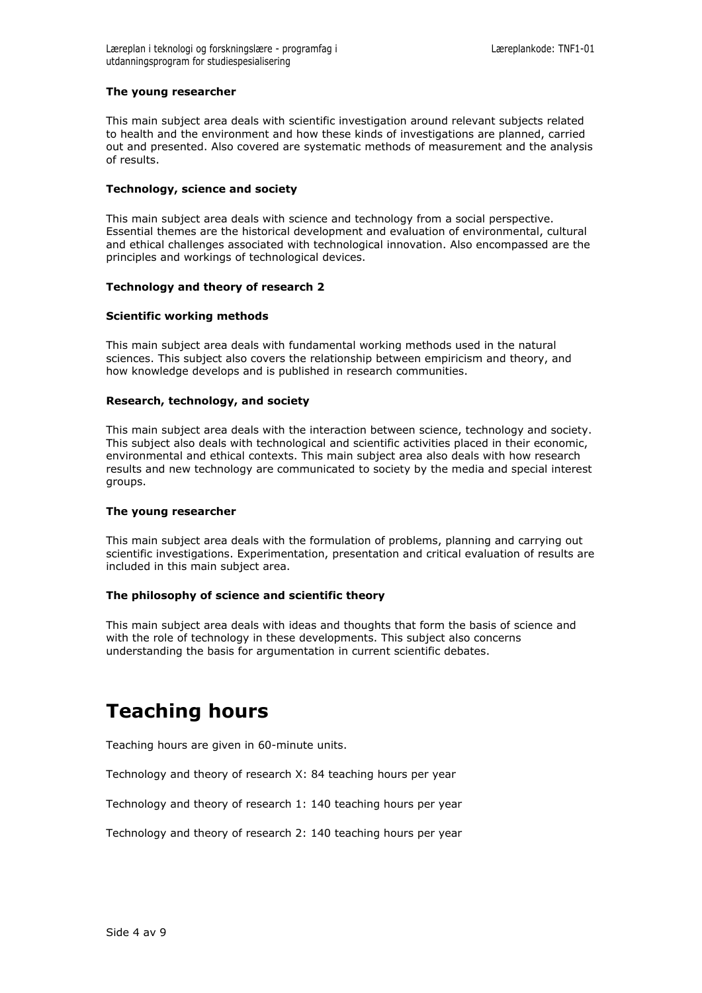### **The young researcher**

This main subject area deals with scientific investigation around relevant subjects related to health and the environment and how these kinds of investigations are planned, carried out and presented. Also covered are systematic methods of measurement and the analysis of results.

#### **Technology, science and society**

This main subject area deals with science and technology from a social perspective. Essential themes are the historical development and evaluation of environmental, cultural and ethical challenges associated with technological innovation. Also encompassed are the principles and workings of technological devices.

#### **Technology and theory of research 2**

#### **Scientific working methods**

This main subject area deals with fundamental working methods used in the natural sciences. This subject also covers the relationship between empiricism and theory, and how knowledge develops and is published in research communities.

#### **Research, technology, and society**

This main subject area deals with the interaction between science, technology and society. This subject also deals with technological and scientific activities placed in their economic, environmental and ethical contexts. This main subject area also deals with how research results and new technology are communicated to society by the media and special interest groups.

#### **The young researcher**

This main subject area deals with the formulation of problems, planning and carrying out scientific investigations. Experimentation, presentation and critical evaluation of results are included in this main subject area.

### **The philosophy of science and scientific theory**

This main subject area deals with ideas and thoughts that form the basis of science and with the role of technology in these developments. This subject also concerns understanding the basis for argumentation in current scientific debates.

# **Teaching hours**

Teaching hours are given in 60-minute units.

Technology and theory of research X: 84 teaching hours per year

Technology and theory of research 1: 140 teaching hours per year

Technology and theory of research 2: 140 teaching hours per year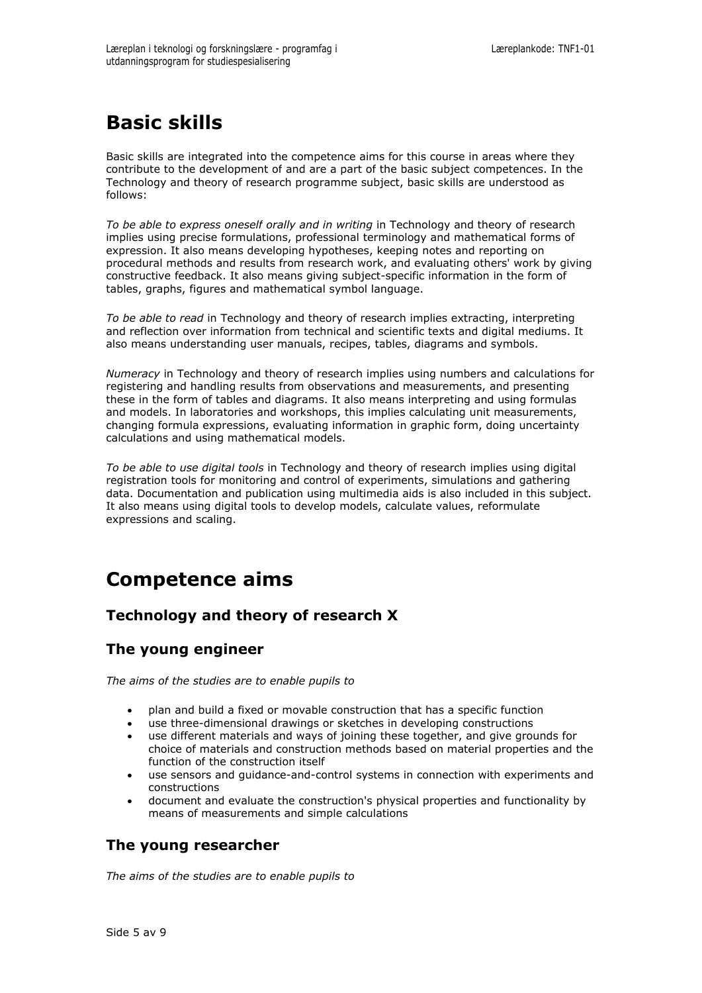# **Basic skills**

Basic skills are integrated into the competence aims for this course in areas where they contribute to the development of and are a part of the basic subject competences. In the Technology and theory of research programme subject, basic skills are understood as follows:

*To be able to express oneself orally and in writing* in Technology and theory of research implies using precise formulations, professional terminology and mathematical forms of expression. It also means developing hypotheses, keeping notes and reporting on procedural methods and results from research work, and evaluating others' work by giving constructive feedback. It also means giving subject-specific information in the form of tables, graphs, figures and mathematical symbol language.

*To be able to read* in Technology and theory of research implies extracting, interpreting and reflection over information from technical and scientific texts and digital mediums. It also means understanding user manuals, recipes, tables, diagrams and symbols.

*Numeracy* in Technology and theory of research implies using numbers and calculations for registering and handling results from observations and measurements, and presenting these in the form of tables and diagrams. It also means interpreting and using formulas and models. In laboratories and workshops, this implies calculating unit measurements, changing formula expressions, evaluating information in graphic form, doing uncertainty calculations and using mathematical models.

*To be able to use digital tools* in Technology and theory of research implies using digital registration tools for monitoring and control of experiments, simulations and gathering data. Documentation and publication using multimedia aids is also included in this subject. It also means using digital tools to develop models, calculate values, reformulate expressions and scaling.

# **Competence aims**

## **Technology and theory of research X**

## **The young engineer**

*The aims of the studies are to enable pupils to*

- plan and build a fixed or movable construction that has a specific function
- use three-dimensional drawings or sketches in developing constructions
- use different materials and ways of joining these together, and give grounds for choice of materials and construction methods based on material properties and the function of the construction itself
- use sensors and guidance-and-control systems in connection with experiments and constructions
- document and evaluate the construction's physical properties and functionality by means of measurements and simple calculations

### **The young researcher**

*The aims of the studies are to enable pupils to*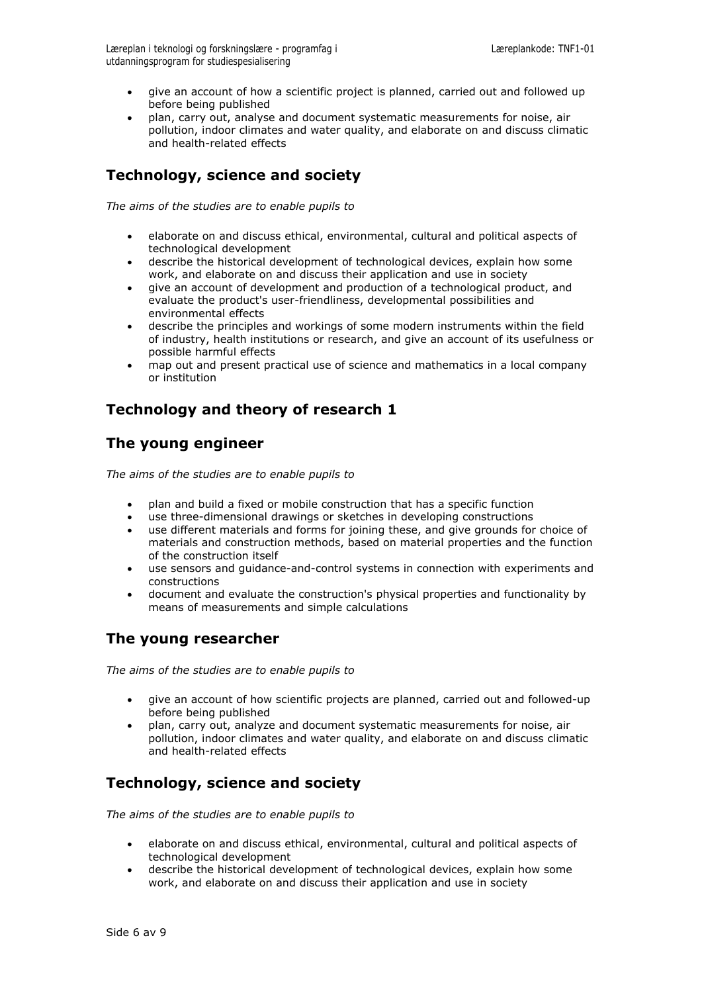- give an account of how a scientific project is planned, carried out and followed up before being published
- plan, carry out, analyse and document systematic measurements for noise, air pollution, indoor climates and water quality, and elaborate on and discuss climatic and health-related effects

## **Technology, science and society**

*The aims of the studies are to enable pupils to*

- elaborate on and discuss ethical, environmental, cultural and political aspects of technological development
- describe the historical development of technological devices, explain how some work, and elaborate on and discuss their application and use in society
- give an account of development and production of a technological product, and evaluate the product's user-friendliness, developmental possibilities and environmental effects
- describe the principles and workings of some modern instruments within the field of industry, health institutions or research, and give an account of its usefulness or possible harmful effects
- map out and present practical use of science and mathematics in a local company or institution

## **Technology and theory of research 1**

## **The young engineer**

*The aims of the studies are to enable pupils to*

- plan and build a fixed or mobile construction that has a specific function
- use three-dimensional drawings or sketches in developing constructions
- use different materials and forms for joining these, and give grounds for choice of materials and construction methods, based on material properties and the function of the construction itself
- use sensors and guidance-and-control systems in connection with experiments and constructions
- document and evaluate the construction's physical properties and functionality by means of measurements and simple calculations

## **The young researcher**

*The aims of the studies are to enable pupils to*

- give an account of how scientific projects are planned, carried out and followed-up before being published
- plan, carry out, analyze and document systematic measurements for noise, air pollution, indoor climates and water quality, and elaborate on and discuss climatic and health-related effects

## **Technology, science and society**

*The aims of the studies are to enable pupils to*

- elaborate on and discuss ethical, environmental, cultural and political aspects of technological development
- describe the historical development of technological devices, explain how some work, and elaborate on and discuss their application and use in society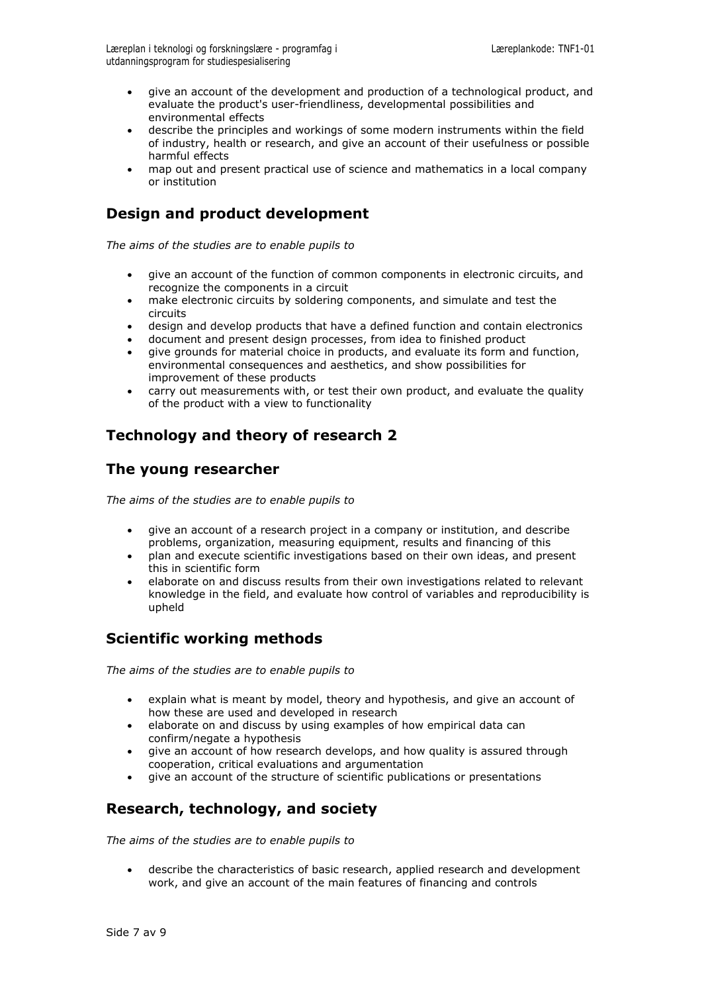- give an account of the development and production of a technological product, and evaluate the product's user-friendliness, developmental possibilities and environmental effects
- describe the principles and workings of some modern instruments within the field of industry, health or research, and give an account of their usefulness or possible harmful effects
- map out and present practical use of science and mathematics in a local company or institution

## **Design and product development**

*The aims of the studies are to enable pupils to*

- give an account of the function of common components in electronic circuits, and recognize the components in a circuit
- make electronic circuits by soldering components, and simulate and test the circuits
- design and develop products that have a defined function and contain electronics
- document and present design processes, from idea to finished product
- give grounds for material choice in products, and evaluate its form and function, environmental consequences and aesthetics, and show possibilities for improvement of these products
- carry out measurements with, or test their own product, and evaluate the quality of the product with a view to functionality

## **Technology and theory of research 2**

## **The young researcher**

*The aims of the studies are to enable pupils to*

- give an account of a research project in a company or institution, and describe problems, organization, measuring equipment, results and financing of this
- plan and execute scientific investigations based on their own ideas, and present this in scientific form
- elaborate on and discuss results from their own investigations related to relevant knowledge in the field, and evaluate how control of variables and reproducibility is upheld

## **Scientific working methods**

*The aims of the studies are to enable pupils to*

- explain what is meant by model, theory and hypothesis, and give an account of how these are used and developed in research
- elaborate on and discuss by using examples of how empirical data can confirm/negate a hypothesis
- give an account of how research develops, and how quality is assured through cooperation, critical evaluations and argumentation
- give an account of the structure of scientific publications or presentations

## **Research, technology, and society**

*The aims of the studies are to enable pupils to*

 describe the characteristics of basic research, applied research and development work, and give an account of the main features of financing and controls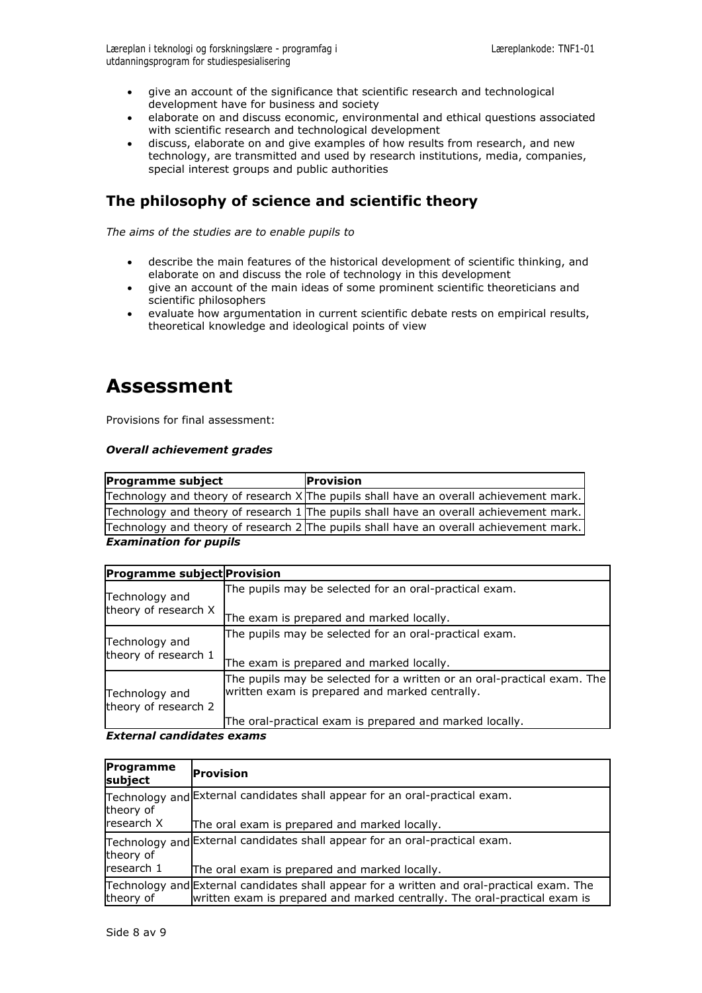- give an account of the significance that scientific research and technological development have for business and society
- elaborate on and discuss economic, environmental and ethical questions associated with scientific research and technological development
- discuss, elaborate on and give examples of how results from research, and new technology, are transmitted and used by research institutions, media, companies, special interest groups and public authorities

## **The philosophy of science and scientific theory**

*The aims of the studies are to enable pupils to*

- describe the main features of the historical development of scientific thinking, and elaborate on and discuss the role of technology in this development
- give an account of the main ideas of some prominent scientific theoreticians and scientific philosophers
- evaluate how argumentation in current scientific debate rests on empirical results, theoretical knowledge and ideological points of view

## **Assessment**

Provisions for final assessment:

### *Overall achievement grades*

| <b>Programme subject</b>      | Provision                                                                                |
|-------------------------------|------------------------------------------------------------------------------------------|
|                               | Technology and theory of research $X$ The pupils shall have an overall achievement mark. |
|                               | Technology and theory of research 1 The pupils shall have an overall achievement mark.   |
|                               | Technology and theory of research 2 The pupils shall have an overall achievement mark.   |
| <b>Examination for pupils</b> |                                                                                          |

| Programme subject Provision            |                                                                                                                                                                                      |  |  |
|----------------------------------------|--------------------------------------------------------------------------------------------------------------------------------------------------------------------------------------|--|--|
| Technology and                         | The pupils may be selected for an oral-practical exam.                                                                                                                               |  |  |
| theory of research X                   | The exam is prepared and marked locally.                                                                                                                                             |  |  |
| Technology and                         | The pupils may be selected for an oral-practical exam.                                                                                                                               |  |  |
| theory of research 1                   | The exam is prepared and marked locally.                                                                                                                                             |  |  |
| Technology and<br>theory of research 2 | The pupils may be selected for a written or an oral-practical exam. The<br>written exam is prepared and marked centrally.<br>The oral-practical exam is prepared and marked locally. |  |  |

*External candidates exams*

| Programme<br>subject | <b>Provision</b>                                                                                                                                                        |
|----------------------|-------------------------------------------------------------------------------------------------------------------------------------------------------------------------|
| theory of            | Technology and External candidates shall appear for an oral-practical exam.                                                                                             |
| <b>Iresearch X</b>   | The oral exam is prepared and marked locally.                                                                                                                           |
| theory of            | Technology and External candidates shall appear for an oral-practical exam.                                                                                             |
| Iresearch 1          | The oral exam is prepared and marked locally.                                                                                                                           |
| theory of            | Technology and External candidates shall appear for a written and oral-practical exam. The<br>written exam is prepared and marked centrally. The oral-practical exam is |